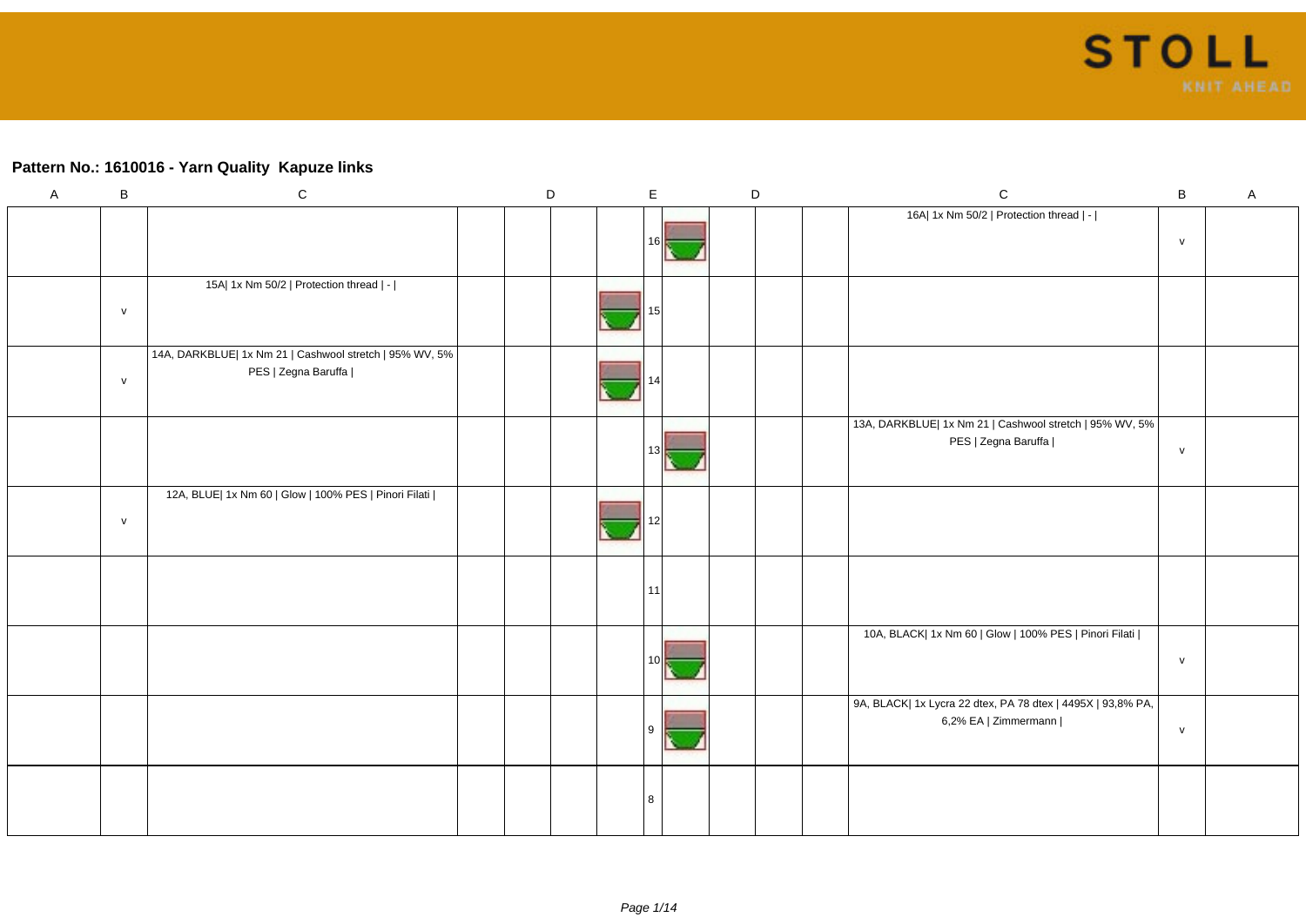### **Pattern No.: 1610016 - Yarn Quality Kapuze links**

| $\mathsf{A}$ | $\sf B$      | ${\bf C}$                                                                      | $\mathsf D$ | $\mathsf E$     | $\mathsf D$ |  | ${\bf C}$                                                                           | $\sf B$      | $\boldsymbol{\mathsf{A}}$ |
|--------------|--------------|--------------------------------------------------------------------------------|-------------|-----------------|-------------|--|-------------------------------------------------------------------------------------|--------------|---------------------------|
|              |              |                                                                                |             | 16I             |             |  | 16A  1x Nm 50/2   Protection thread   -                                             | $\mathsf{v}$ |                           |
|              | $\mathsf{v}$ | 15A  1x Nm 50/2   Protection thread   -                                        |             | 151             |             |  |                                                                                     |              |                           |
|              | $\mathsf{V}$ | 14A, DARKBLUE  1x Nm 21   Cashwool stretch   95% WV, 5%<br>PES   Zegna Baruffa |             |                 |             |  |                                                                                     |              |                           |
|              |              |                                                                                |             | 13 <sub>l</sub> |             |  | 13A, DARKBLUE  1x Nm 21   Cashwool stretch   95% WV, 5%  <br>PES   Zegna Baruffa    | ${\sf v}$    |                           |
|              | $\mathsf{V}$ | 12A, BLUE  1x Nm 60   Glow   100% PES   Pinori Filati                          |             | 12              |             |  |                                                                                     |              |                           |
|              |              |                                                                                |             | 11              |             |  |                                                                                     |              |                           |
|              |              |                                                                                |             | 10I             |             |  | 10A, BLACK  1x Nm 60   Glow   100% PES   Pinori Filati                              | ${\sf v}$    |                           |
|              |              |                                                                                |             | l 9             |             |  | 9A, BLACK  1x Lycra 22 dtex, PA 78 dtex   4495X   93,8% PA,<br>6,2% EA   Zimmermann | ${\sf v}$    |                           |
|              |              |                                                                                |             | 8               |             |  |                                                                                     |              |                           |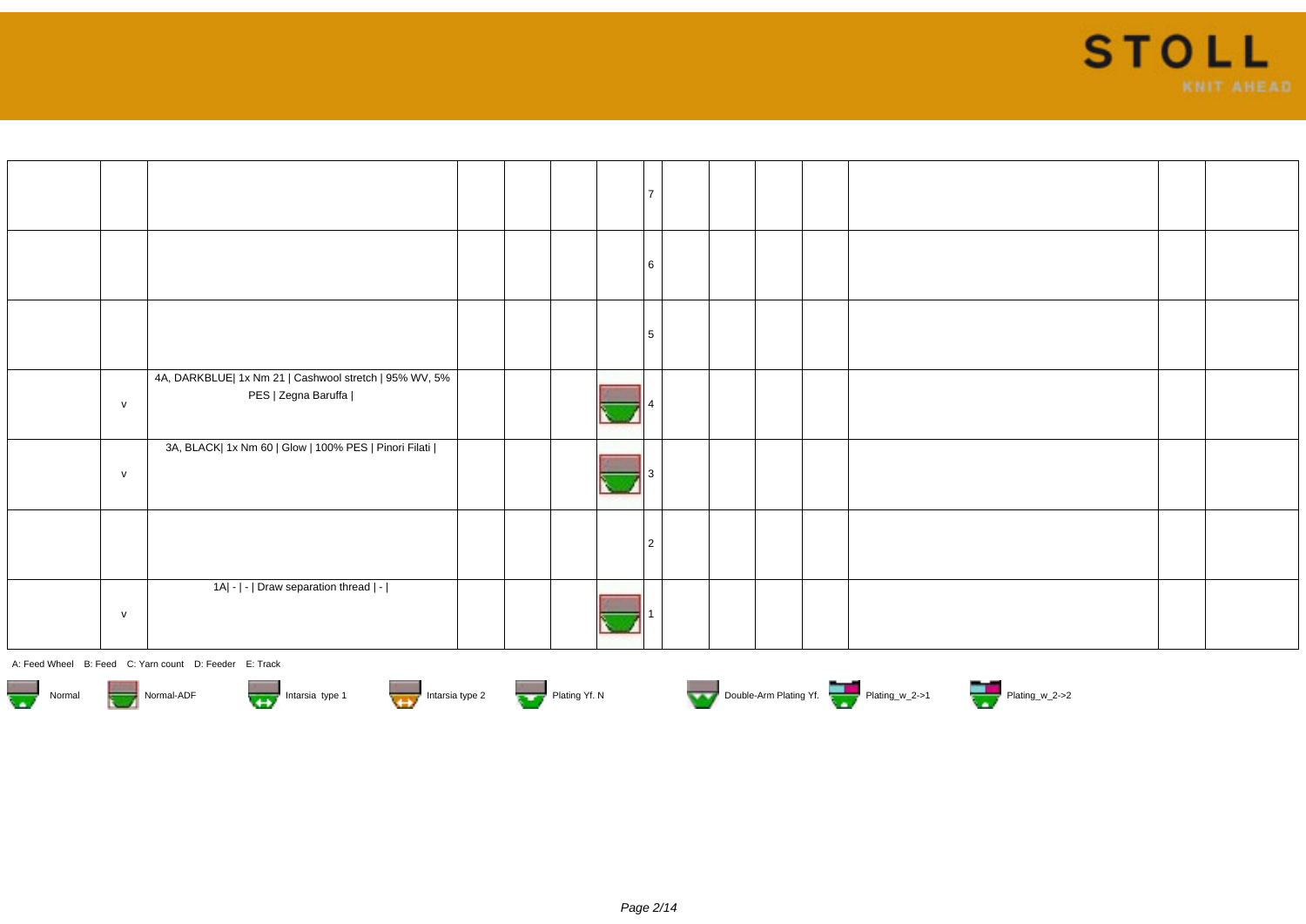

|              |                                                                               |  |  | 6              |  |  |  |  |
|--------------|-------------------------------------------------------------------------------|--|--|----------------|--|--|--|--|
|              |                                                                               |  |  | 5              |  |  |  |  |
| $\mathsf{v}$ | 4A, DARKBLUE  1x Nm 21   Cashwool stretch   95% WV, 5%<br>PES   Zegna Baruffa |  |  |                |  |  |  |  |
| $\mathsf{v}$ | 3A, BLACK  1x Nm 60   Glow   100% PES   Pinori Filati                         |  |  |                |  |  |  |  |
|              |                                                                               |  |  | $\overline{2}$ |  |  |  |  |
| $\mathsf{v}$ | 1A  -   -   Draw separation thread   -                                        |  |  |                |  |  |  |  |













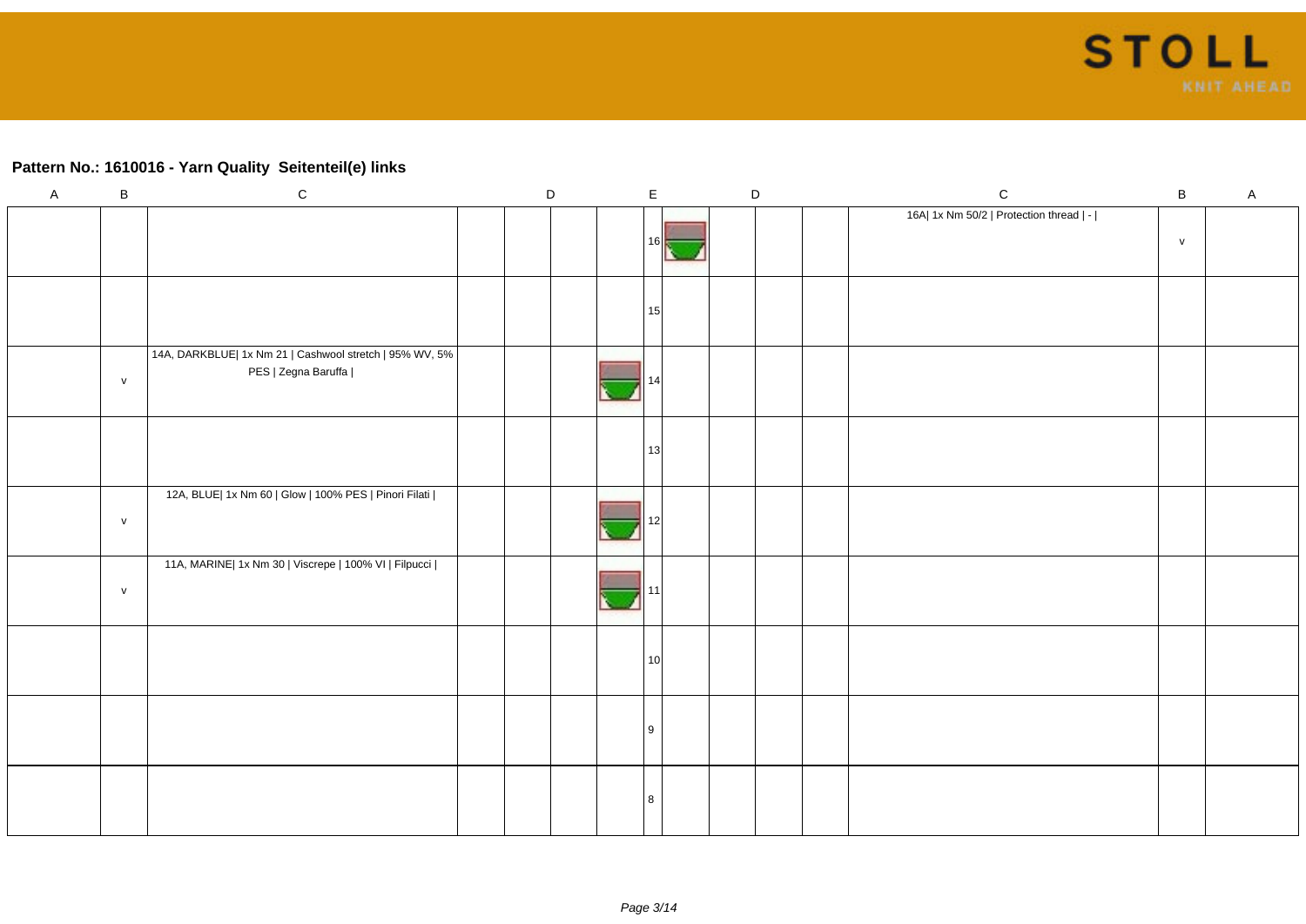### **Pattern No.: 1610016 - Yarn Quality Seitenteil(e) links**

| $\mathsf{A}$ | $\sf B$   | ${\rm c}$                                                                      | D |  | $\mathsf E$     |  | $\mathsf D$ | ${\bf C}$                               | $\sf B$      | $\mathsf{A}$ |
|--------------|-----------|--------------------------------------------------------------------------------|---|--|-----------------|--|-------------|-----------------------------------------|--------------|--------------|
|              |           |                                                                                |   |  | 161             |  |             | 16A  1x Nm 50/2   Protection thread   - | $\mathsf{v}$ |              |
|              |           |                                                                                |   |  | 15              |  |             |                                         |              |              |
|              | ${\sf v}$ | 14A, DARKBLUE  1x Nm 21   Cashwool stretch   95% WV, 5%<br>PES   Zegna Baruffa |   |  |                 |  |             |                                         |              |              |
|              |           |                                                                                |   |  | 13              |  |             |                                         |              |              |
|              | ${\sf v}$ | 12A, BLUE  1x Nm 60   Glow   100% PES   Pinori Filati                          |   |  |                 |  |             |                                         |              |              |
|              | ${\sf V}$ | 11A, MARINE  1x Nm 30   Viscrepe   100% VI   Filpucci                          |   |  |                 |  |             |                                         |              |              |
|              |           |                                                                                |   |  | 10 <sup>1</sup> |  |             |                                         |              |              |
|              |           |                                                                                |   |  | l 9             |  |             |                                         |              |              |
|              |           |                                                                                |   |  |                 |  |             |                                         |              |              |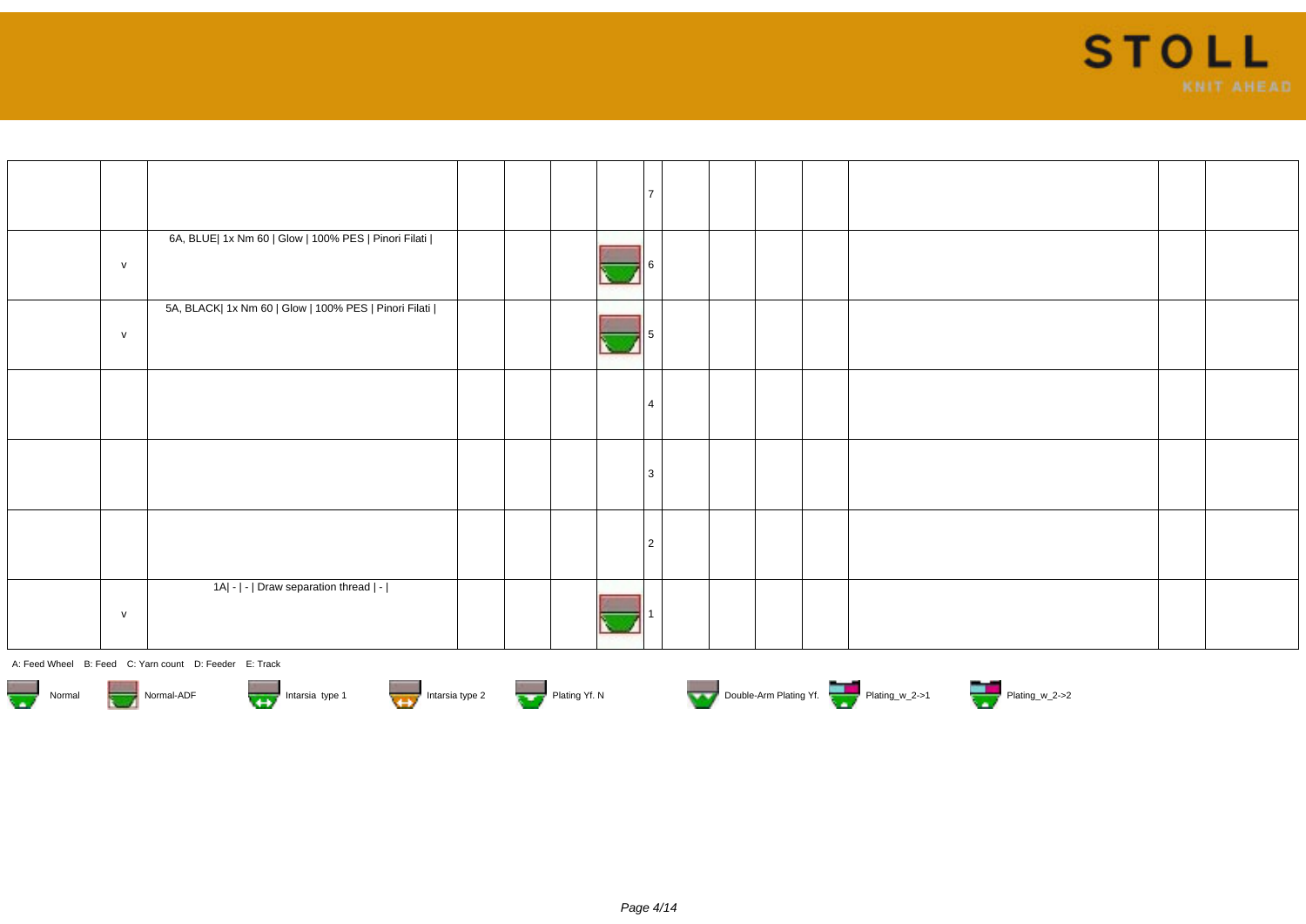

|   |                                                       |  | $\overline{7}$ |  |  |  |  |
|---|-------------------------------------------------------|--|----------------|--|--|--|--|
| V | 6A, BLUE  1x Nm 60   Glow   100% PES   Pinori Filati  |  |                |  |  |  |  |
| V | 5A, BLACK  1x Nm 60   Glow   100% PES   Pinori Filati |  |                |  |  |  |  |
|   |                                                       |  | $\overline{4}$ |  |  |  |  |
|   |                                                       |  | 3              |  |  |  |  |
|   |                                                       |  | 2              |  |  |  |  |
| V | 1A  -   -   Draw separation thread   -                |  |                |  |  |  |  |









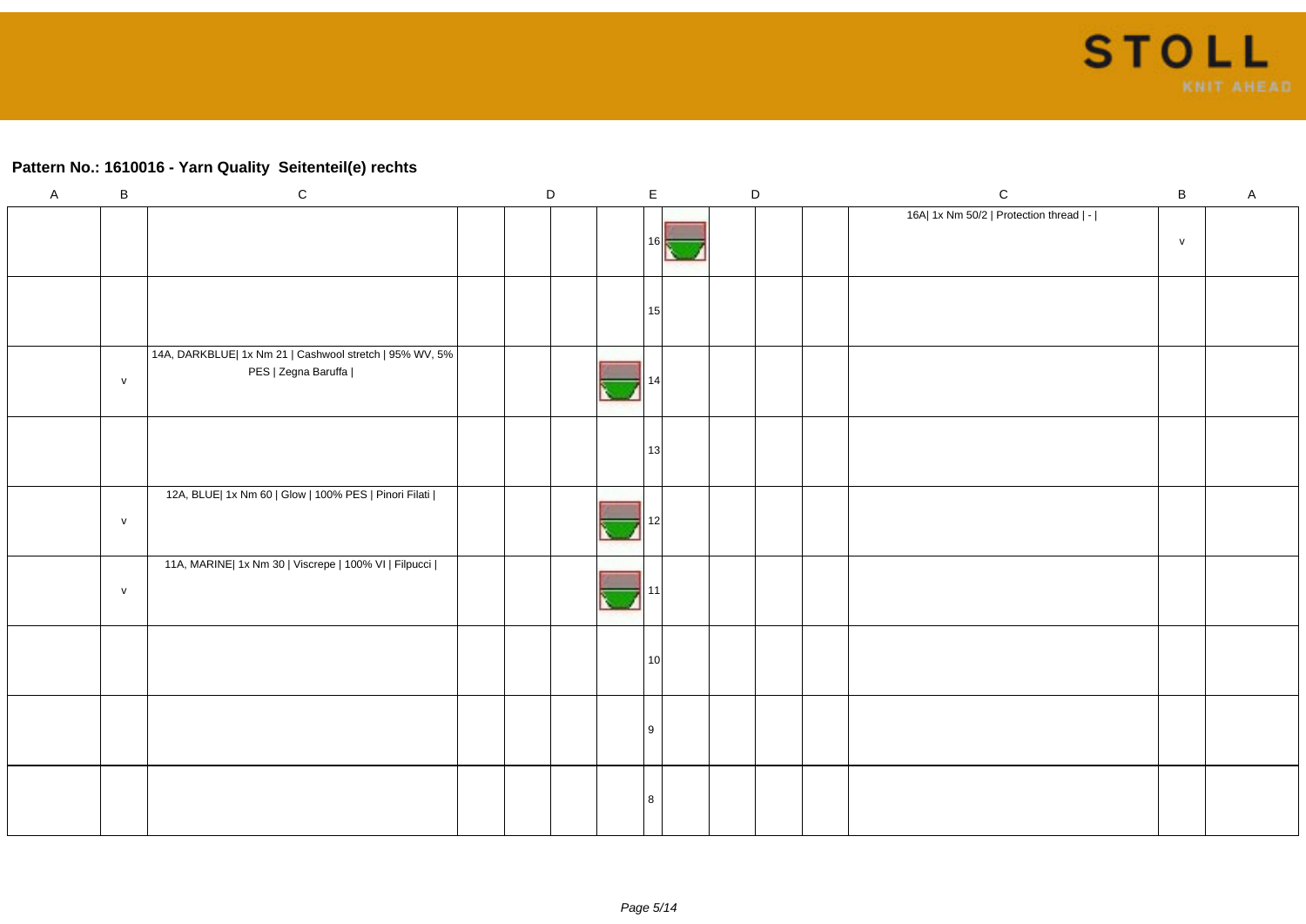### **Pattern No.: 1610016 - Yarn Quality Seitenteil(e) rechts**

| $\mathsf{A}$ | $\sf B$      | ${\rm c}$                                                                      | D |  | $\mathsf E$     | $\mathsf D$ |  | $\mathsf C$                             | $\, {\bf B}$ | $\mathsf{A}$ |
|--------------|--------------|--------------------------------------------------------------------------------|---|--|-----------------|-------------|--|-----------------------------------------|--------------|--------------|
|              |              |                                                                                |   |  | 161             |             |  | 16A  1x Nm 50/2   Protection thread   - | $\mathsf{v}$ |              |
|              |              |                                                                                |   |  | 15              |             |  |                                         |              |              |
|              | $\mathsf{V}$ | 14A, DARKBLUE  1x Nm 21   Cashwool stretch   95% WV, 5%<br>PES   Zegna Baruffa |   |  |                 |             |  |                                         |              |              |
|              |              |                                                                                |   |  | 13              |             |  |                                         |              |              |
|              | ${\sf v}$    | 12A, BLUE  1x Nm 60   Glow   100% PES   Pinori Filati                          |   |  |                 |             |  |                                         |              |              |
|              | $\mathsf{V}$ | 11A, MARINE  1x Nm 30   Viscrepe   100% VI   Filpucci                          |   |  |                 |             |  |                                         |              |              |
|              |              |                                                                                |   |  | 10 <sup>1</sup> |             |  |                                         |              |              |
|              |              |                                                                                |   |  | l 9             |             |  |                                         |              |              |
|              |              |                                                                                |   |  | -8              |             |  |                                         |              |              |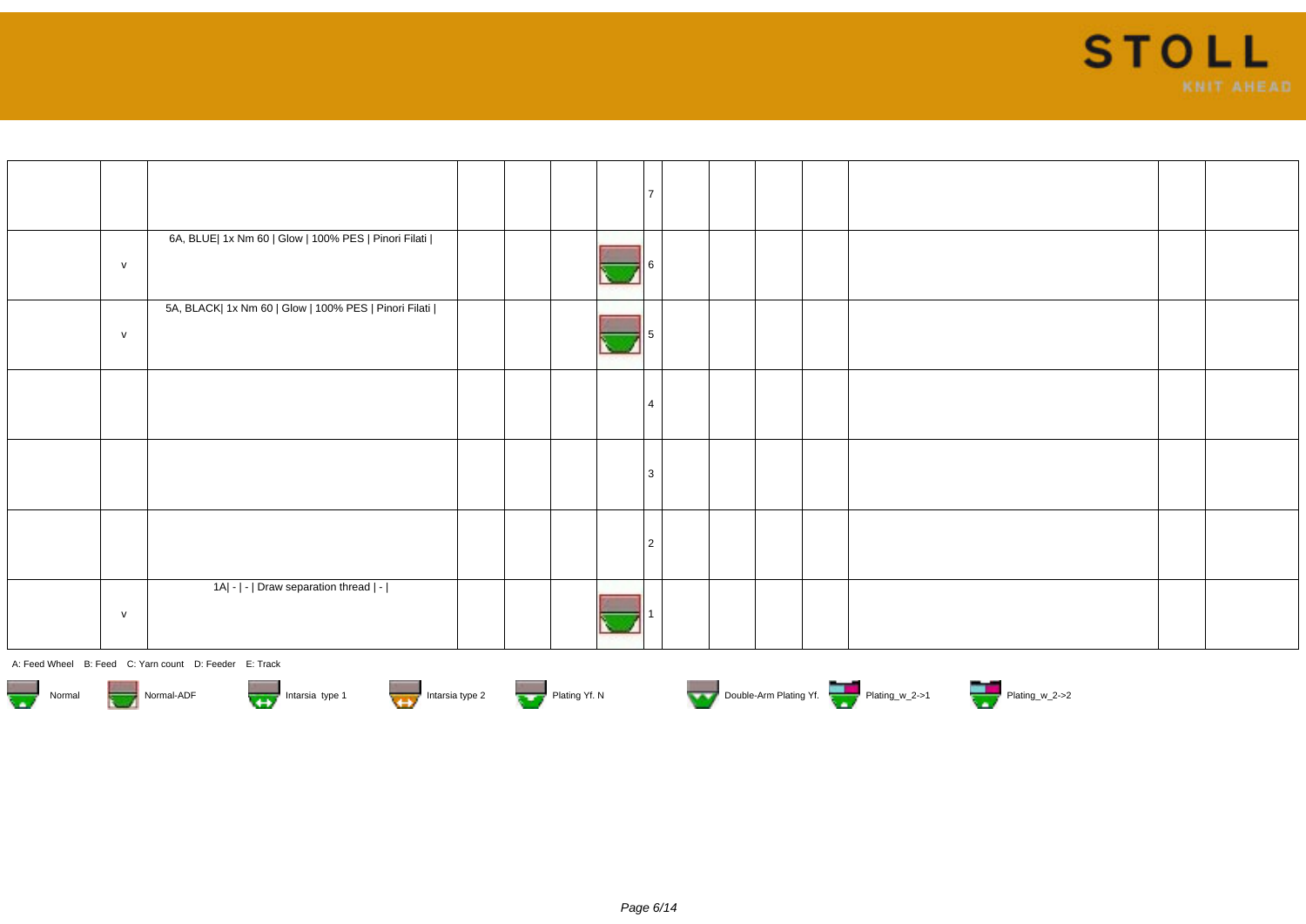

|   |                                                       |  | $\overline{7}$ |  |  |  |  |
|---|-------------------------------------------------------|--|----------------|--|--|--|--|
| V | 6A, BLUE  1x Nm 60   Glow   100% PES   Pinori Filati  |  |                |  |  |  |  |
| V | 5A, BLACK  1x Nm 60   Glow   100% PES   Pinori Filati |  |                |  |  |  |  |
|   |                                                       |  | $\overline{4}$ |  |  |  |  |
|   |                                                       |  | 3              |  |  |  |  |
|   |                                                       |  | 2              |  |  |  |  |
| V | 1A  -   -   Draw separation thread   -                |  |                |  |  |  |  |









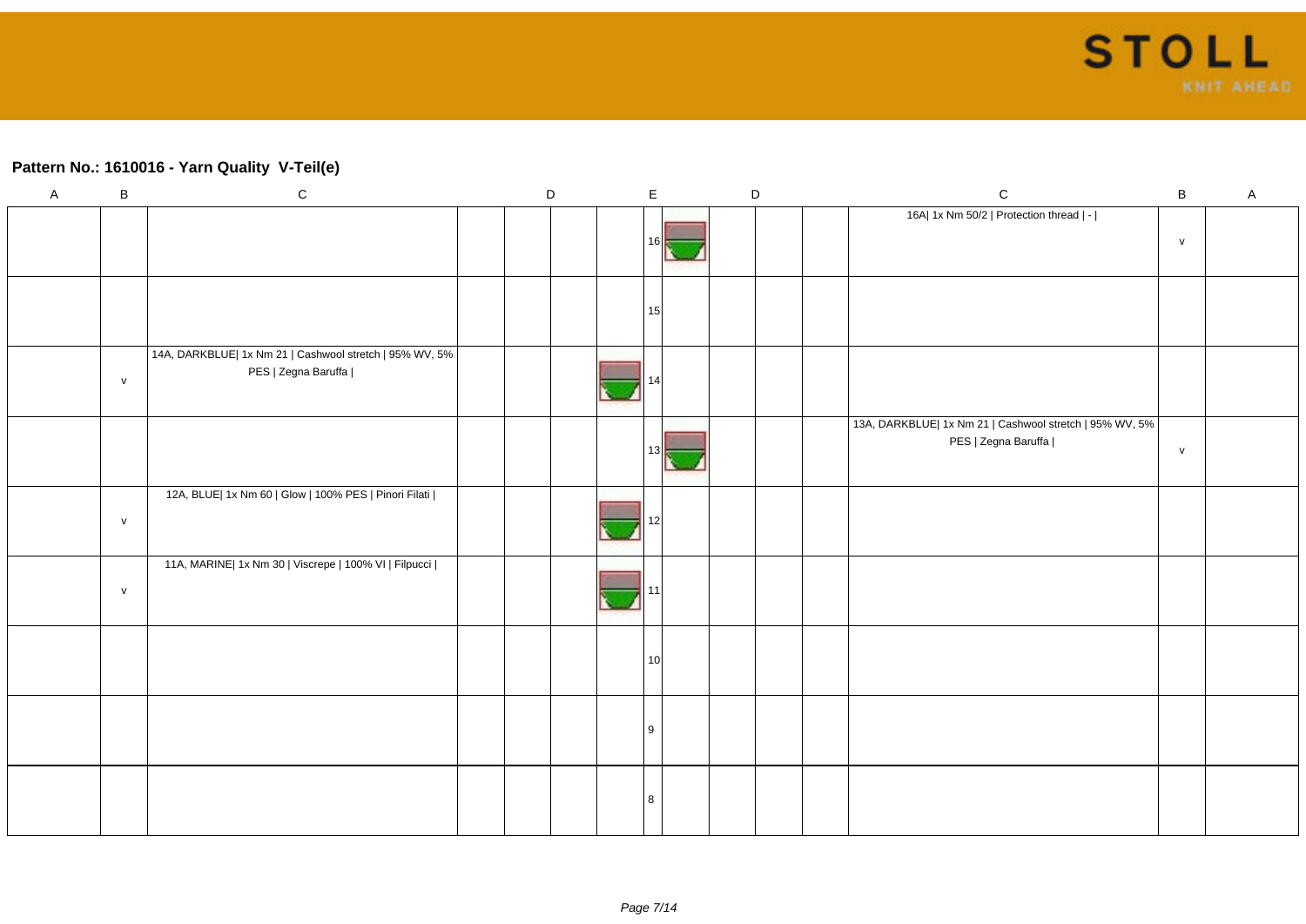### **Pattern No.: 1610016 - Yarn Quality V-Teil(e)**

| $\mathsf A$ | $\sf B$      | ${\bf C}$                                               | D |  | $\mathsf E$     | $\mathsf D$ |  | ${\bf C}$                                               | $\, {\bf B}$  | $\mathsf A$ |
|-------------|--------------|---------------------------------------------------------|---|--|-----------------|-------------|--|---------------------------------------------------------|---------------|-------------|
|             |              |                                                         |   |  |                 |             |  | 16A  1x Nm 50/2   Protection thread   -                 |               |             |
|             |              |                                                         |   |  | 16 I            |             |  |                                                         | $\mathsf{V}$  |             |
|             |              |                                                         |   |  |                 |             |  |                                                         |               |             |
|             |              |                                                         |   |  | 15              |             |  |                                                         |               |             |
|             |              |                                                         |   |  |                 |             |  |                                                         |               |             |
|             |              | 14A, DARKBLUE  1x Nm 21   Cashwool stretch   95% WV, 5% |   |  |                 |             |  |                                                         |               |             |
|             | ${\sf V}$    | PES   Zegna Baruffa                                     |   |  |                 |             |  |                                                         |               |             |
|             |              |                                                         |   |  |                 |             |  | 13A, DARKBLUE  1x Nm 21   Cashwool stretch   95% WV, 5% |               |             |
|             |              |                                                         |   |  | 131             |             |  | PES   Zegna Baruffa                                     | ${\mathsf V}$ |             |
|             |              |                                                         |   |  |                 |             |  |                                                         |               |             |
|             |              | 12A, BLUE  1x Nm 60   Glow   100% PES   Pinori Filati   |   |  |                 |             |  |                                                         |               |             |
|             | $\mathsf{v}$ |                                                         |   |  |                 |             |  |                                                         |               |             |
|             |              |                                                         |   |  |                 |             |  |                                                         |               |             |
|             |              | 11A, MARINE  1x Nm 30   Viscrepe   100% VI   Filpucci   |   |  |                 |             |  |                                                         |               |             |
|             | $\mathsf{v}$ |                                                         |   |  |                 |             |  |                                                         |               |             |
|             |              |                                                         |   |  |                 |             |  |                                                         |               |             |
|             |              |                                                         |   |  | 10 <sup>1</sup> |             |  |                                                         |               |             |
|             |              |                                                         |   |  |                 |             |  |                                                         |               |             |
|             |              |                                                         |   |  |                 |             |  |                                                         |               |             |
|             |              |                                                         |   |  | <u>g</u>        |             |  |                                                         |               |             |
|             |              |                                                         |   |  |                 |             |  |                                                         |               |             |
|             |              |                                                         |   |  |                 |             |  |                                                         |               |             |
|             |              |                                                         |   |  |                 |             |  |                                                         |               |             |
|             |              |                                                         |   |  |                 |             |  |                                                         |               |             |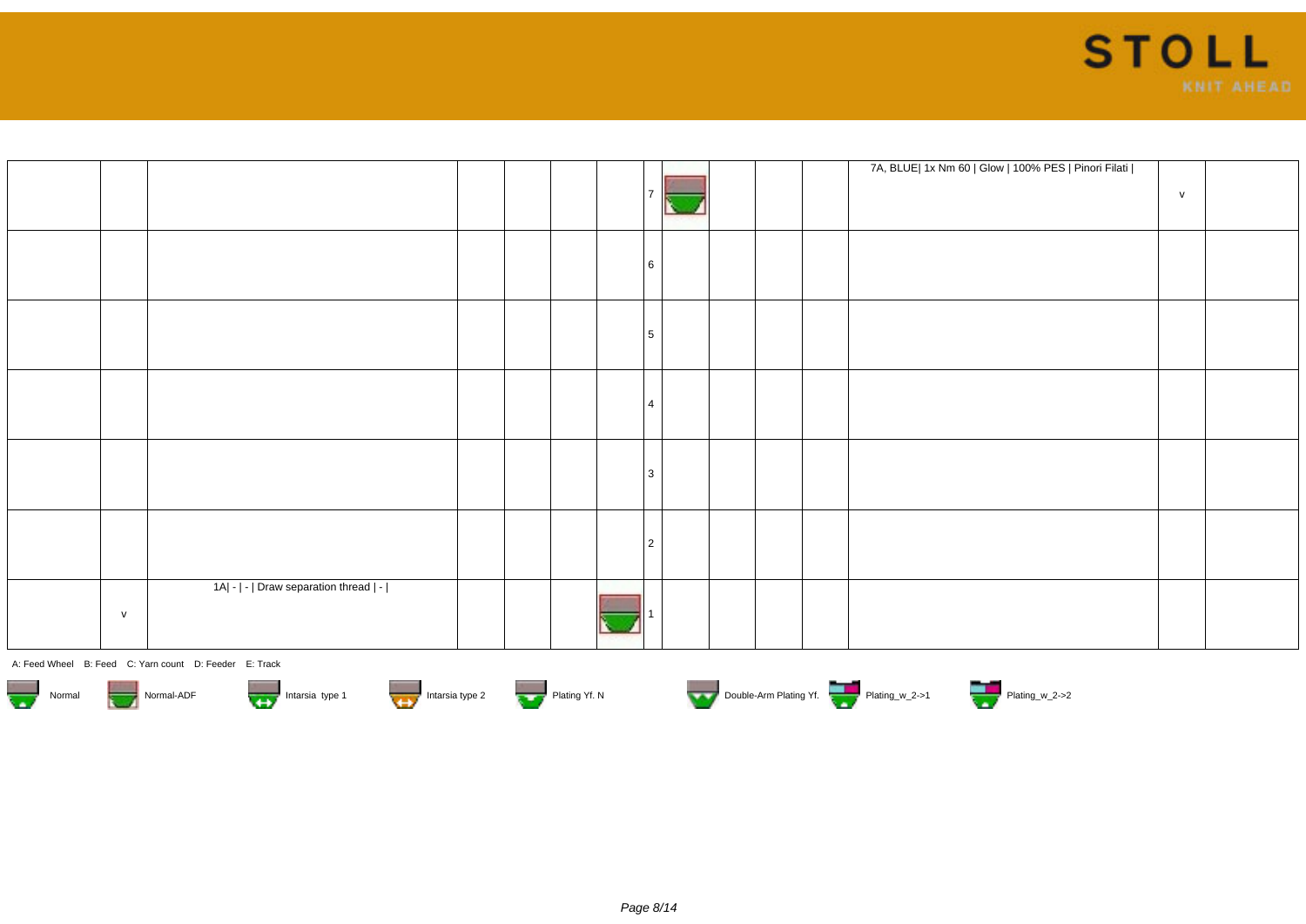

|   |                                        |  |  |                |  |  | 7A, BLUE  1x Nm 60   Glow   100% PES   Pinori Filati | V |  |
|---|----------------------------------------|--|--|----------------|--|--|------------------------------------------------------|---|--|
|   |                                        |  |  | 6              |  |  |                                                      |   |  |
|   |                                        |  |  | 5 <sup>5</sup> |  |  |                                                      |   |  |
|   |                                        |  |  | $\overline{4}$ |  |  |                                                      |   |  |
|   |                                        |  |  | 3              |  |  |                                                      |   |  |
|   |                                        |  |  | 2              |  |  |                                                      |   |  |
| V | 1A  -   -   Draw separation thread   - |  |  |                |  |  |                                                      |   |  |













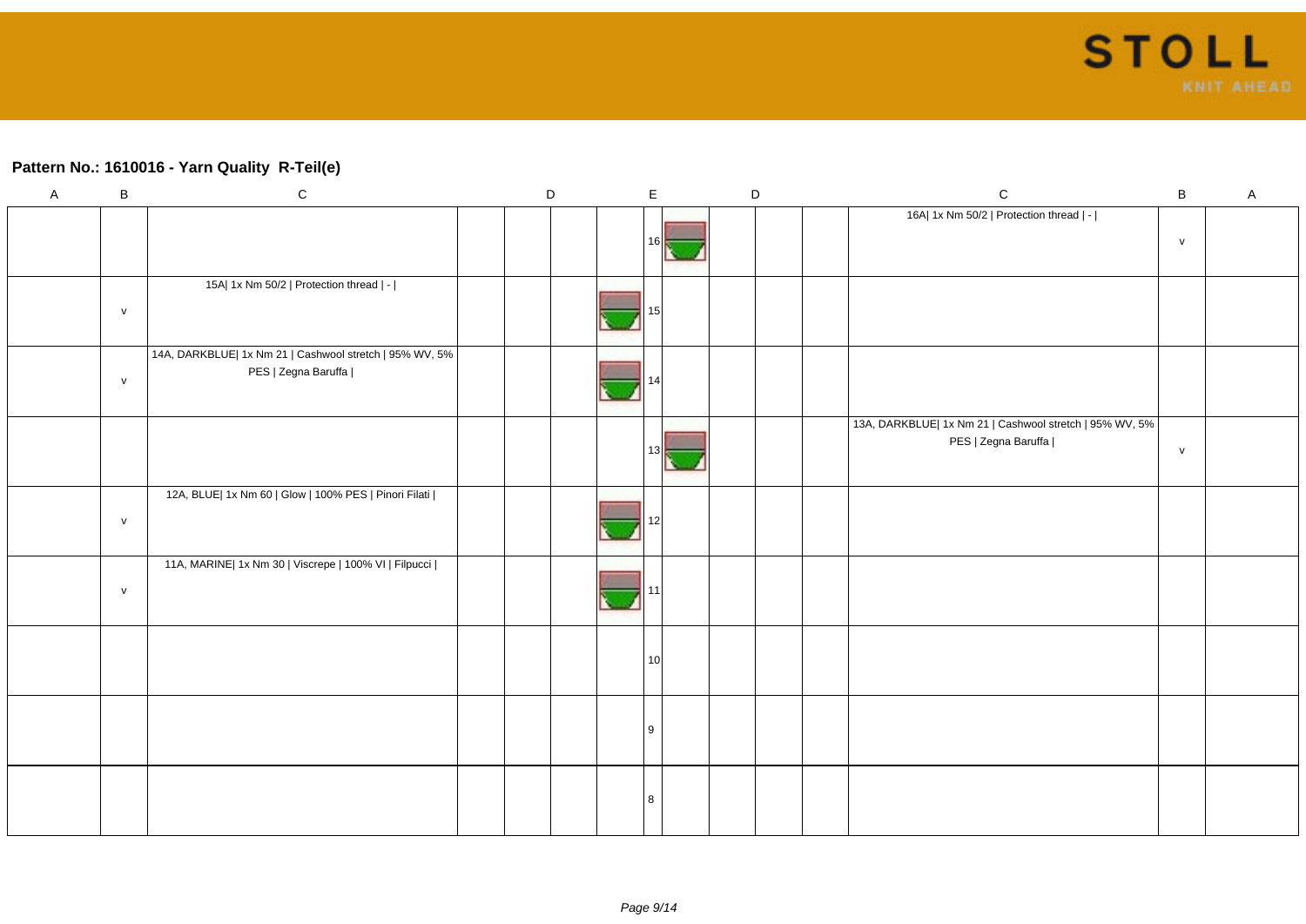### **Pattern No.: 1610016 - Yarn Quality R-Teil(e)**

| $\overline{A}$ | $\sf B$      | ${\bf C}$                                                                      | D |  | $\mathsf E$     |  | $\mathsf D$ | ${\bf C}$                                                                      | $\sf B$      | $\mathsf{A}$ |
|----------------|--------------|--------------------------------------------------------------------------------|---|--|-----------------|--|-------------|--------------------------------------------------------------------------------|--------------|--------------|
|                |              |                                                                                |   |  | 16I             |  |             | 16A  1x Nm 50/2   Protection thread   -                                        | ${\sf V}$    |              |
|                |              |                                                                                |   |  |                 |  |             |                                                                                |              |              |
|                | ${\sf V}$    | 15A  1x Nm 50/2   Protection thread   -                                        |   |  |                 |  |             |                                                                                |              |              |
|                |              |                                                                                |   |  |                 |  |             |                                                                                |              |              |
|                | $\mathsf{V}$ | 14A, DARKBLUE  1x Nm 21   Cashwool stretch   95% WV, 5%<br>PES   Zegna Baruffa |   |  |                 |  |             |                                                                                |              |              |
|                |              |                                                                                |   |  | 13              |  |             | 13A, DARKBLUE  1x Nm 21   Cashwool stretch   95% WV, 5%<br>PES   Zegna Baruffa | $\mathsf{V}$ |              |
|                | ${\sf V}$    | 12A, BLUE  1x Nm 60   Glow   100% PES   Pinori Filati                          |   |  |                 |  |             |                                                                                |              |              |
|                | ${\sf V}$    | 11A, MARINE  1x Nm 30   Viscrepe   100% VI   Filpucci                          |   |  |                 |  |             |                                                                                |              |              |
|                |              |                                                                                |   |  | 10 <sup>1</sup> |  |             |                                                                                |              |              |
|                |              |                                                                                |   |  | l 9             |  |             |                                                                                |              |              |
|                |              |                                                                                |   |  | 8               |  |             |                                                                                |              |              |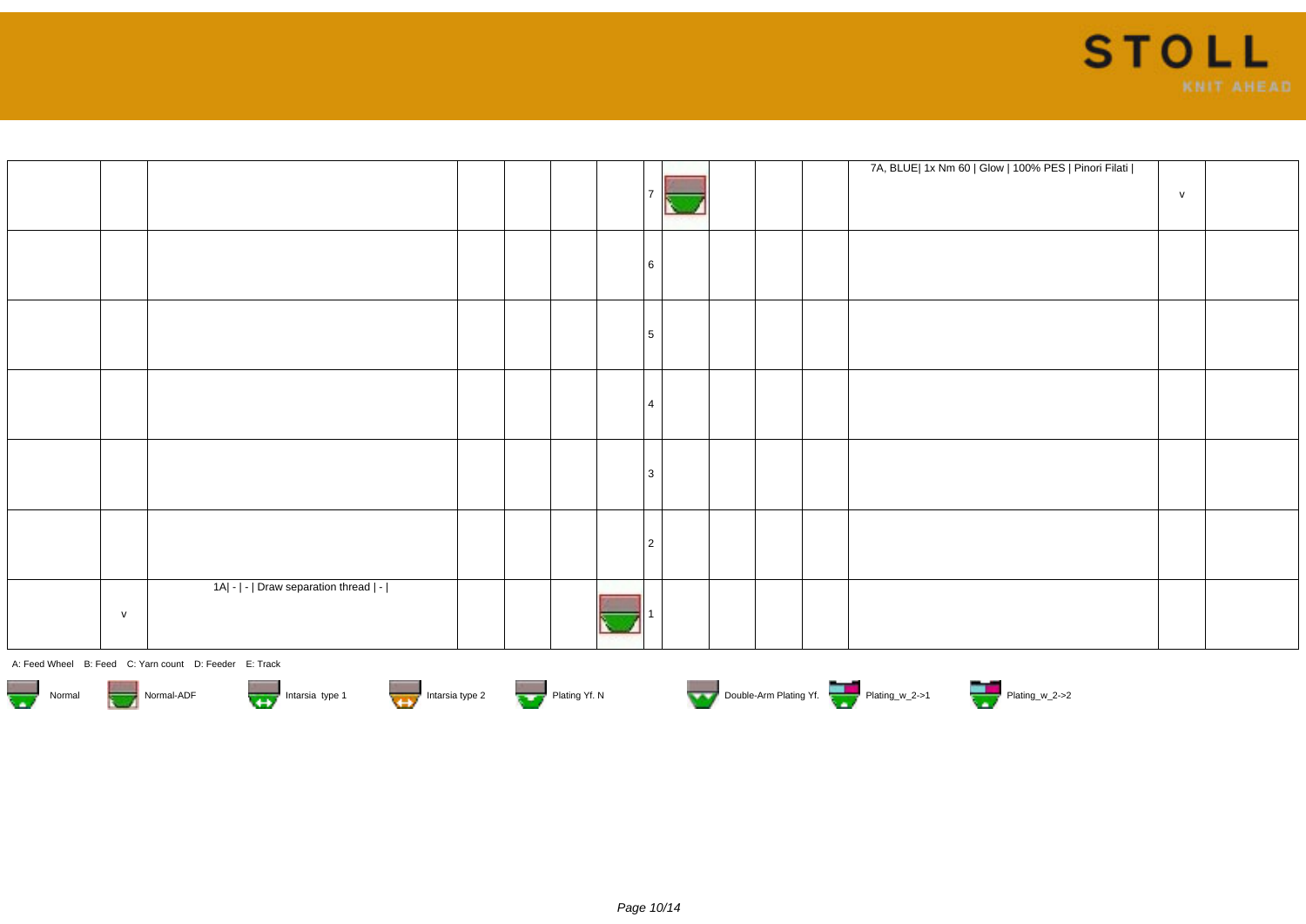

|   |                                        |  |  |    |  | 7A, BLUE  1x Nm 60   Glow   100% PES   Pinori Filati | V |  |
|---|----------------------------------------|--|--|----|--|------------------------------------------------------|---|--|
|   |                                        |  |  | -6 |  |                                                      |   |  |
|   |                                        |  |  | 5  |  |                                                      |   |  |
|   |                                        |  |  |    |  |                                                      |   |  |
|   |                                        |  |  | 3  |  |                                                      |   |  |
|   |                                        |  |  | 2  |  |                                                      |   |  |
| V | 1A  -   -   Draw separation thread   - |  |  |    |  |                                                      |   |  |













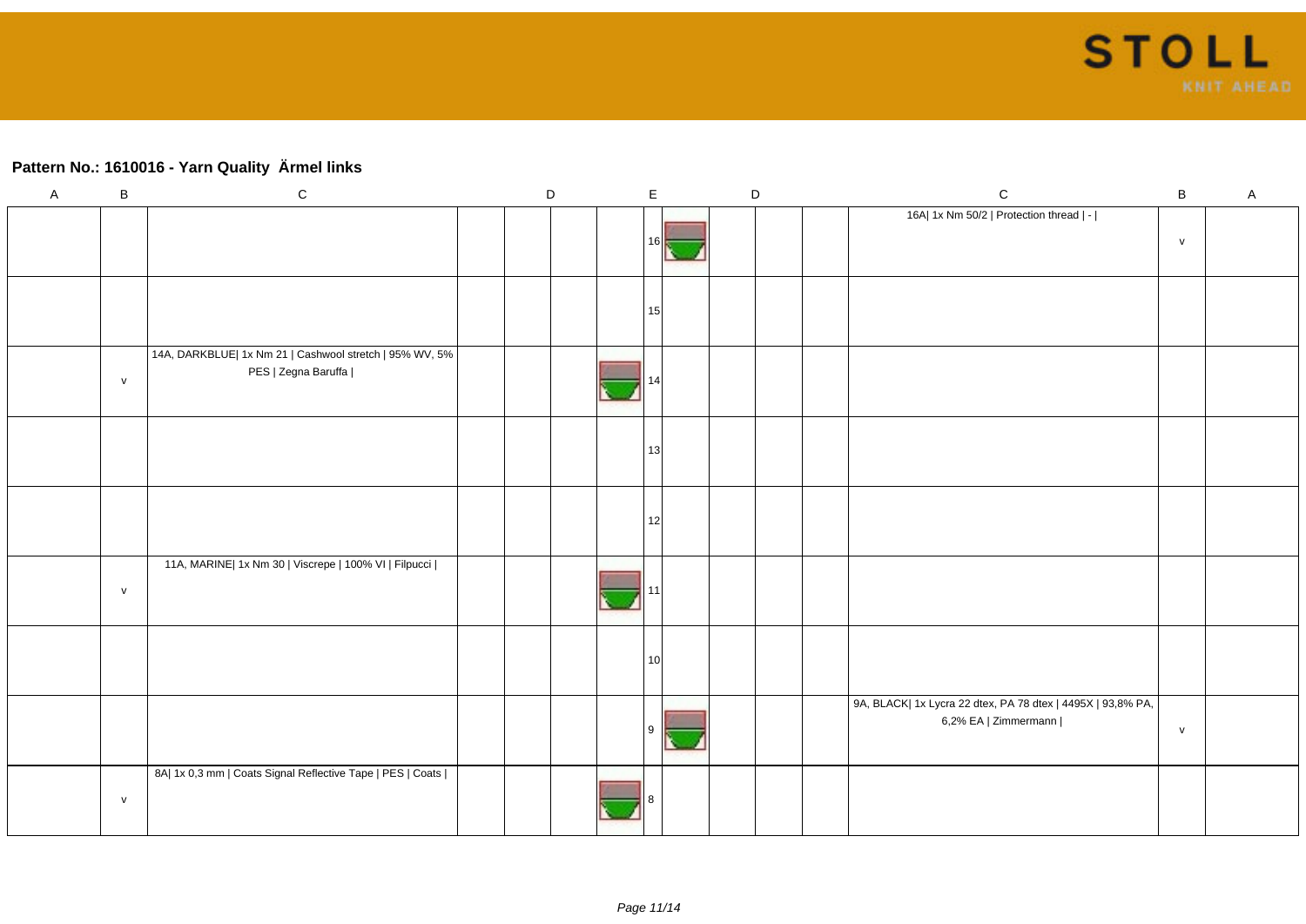## **Pattern No.: 1610016 - Yarn Quality Ärmel links**

| $\mathsf{A}$ | $\sf B$      | ${\bf C}$                                                                      | D |  | $\mathsf E$     | $\mathsf D$ |  | ${\bf C}$                                                                           | $\, {\bf B}$  | $\boldsymbol{\mathsf{A}}$ |
|--------------|--------------|--------------------------------------------------------------------------------|---|--|-----------------|-------------|--|-------------------------------------------------------------------------------------|---------------|---------------------------|
|              |              |                                                                                |   |  | 161             |             |  | 16A  1x Nm 50/2   Protection thread   -                                             | ${\mathsf V}$ |                           |
|              |              |                                                                                |   |  | 15              |             |  |                                                                                     |               |                           |
|              | ${\sf v}$    | 14A, DARKBLUE  1x Nm 21   Cashwool stretch   95% WV, 5%<br>PES   Zegna Baruffa |   |  |                 |             |  |                                                                                     |               |                           |
|              |              |                                                                                |   |  | 13              |             |  |                                                                                     |               |                           |
|              |              |                                                                                |   |  | 12              |             |  |                                                                                     |               |                           |
|              | $\mathsf{v}$ | 11A, MARINE  1x Nm 30   Viscrepe   100% VI   Filpucci                          |   |  |                 |             |  |                                                                                     |               |                           |
|              |              |                                                                                |   |  | 10 <sup>1</sup> |             |  |                                                                                     |               |                           |
|              |              |                                                                                |   |  |                 |             |  | 9A, BLACK  1x Lycra 22 dtex, PA 78 dtex   4495X   93,8% PA,<br>6,2% EA   Zimmermann | $\mathsf{v}$  |                           |
|              | V            | 8A  1x 0,3 mm   Coats Signal Reflective Tape   PES   Coats                     |   |  |                 |             |  |                                                                                     |               |                           |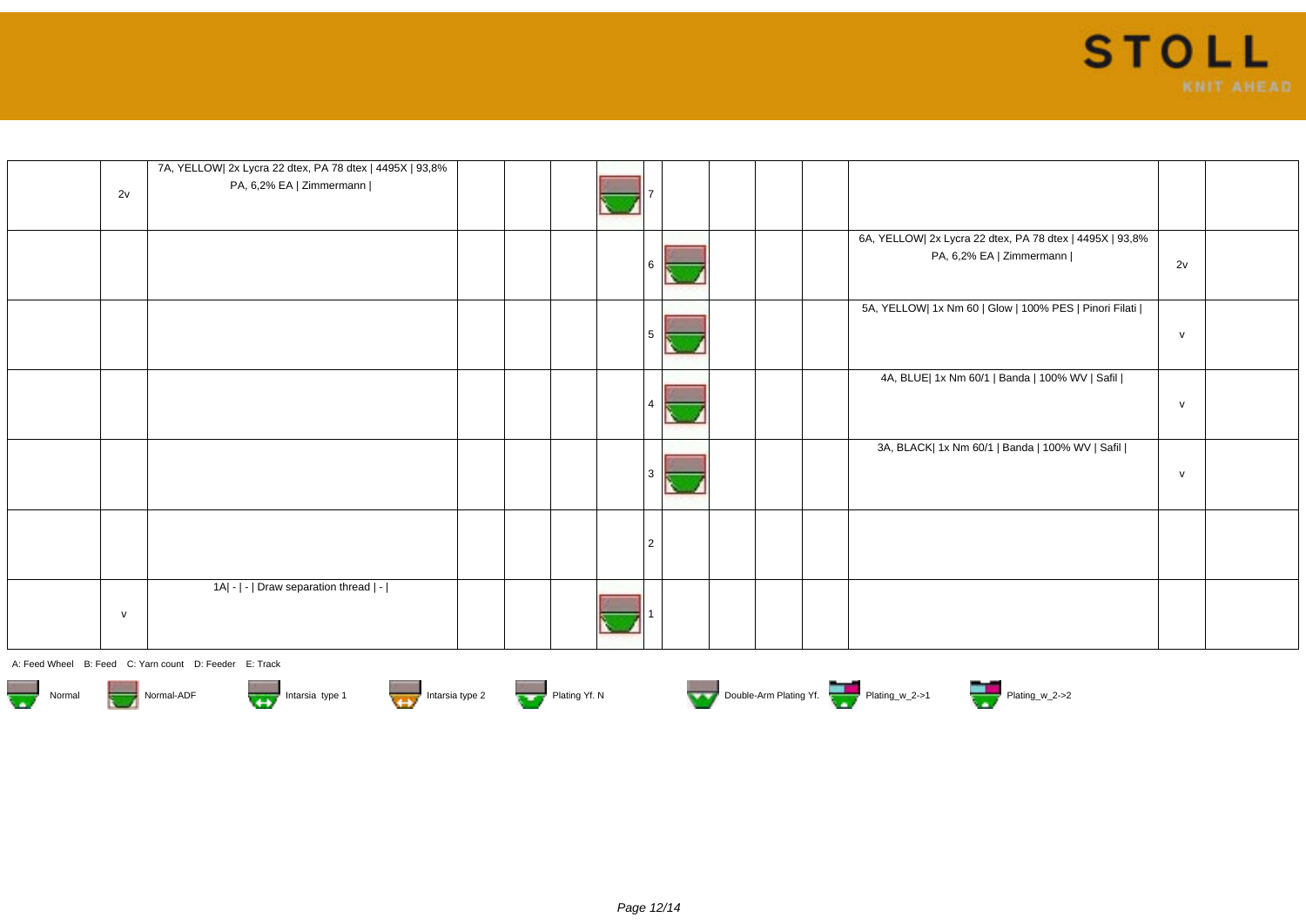

| 2v           | 7A, YELLOW  2x Lycra 22 dtex, PA 78 dtex   4495X   93,8%<br>PA, 6,2% EA   Zimmermann |   |                                                                                      |              |  |
|--------------|--------------------------------------------------------------------------------------|---|--------------------------------------------------------------------------------------|--------------|--|
|              |                                                                                      |   | 6A, YELLOW  2x Lycra 22 dtex, PA 78 dtex   4495X   93,8%<br>PA, 6,2% EA   Zimmermann | 2v           |  |
|              |                                                                                      |   | 5A, YELLOW  1x Nm 60   Glow   100% PES   Pinori Filati                               | $\mathsf{v}$ |  |
|              |                                                                                      |   | 4A, BLUE  1x Nm 60/1   Banda   100% WV   Safil                                       | $\mathsf{v}$ |  |
|              |                                                                                      |   | 3A, BLACK  1x Nm 60/1   Banda   100% WV   Safil                                      | $\mathsf{v}$ |  |
|              |                                                                                      | 2 |                                                                                      |              |  |
| $\mathsf{v}$ | 1A  -   -   Draw separation thread   -                                               |   |                                                                                      |              |  |













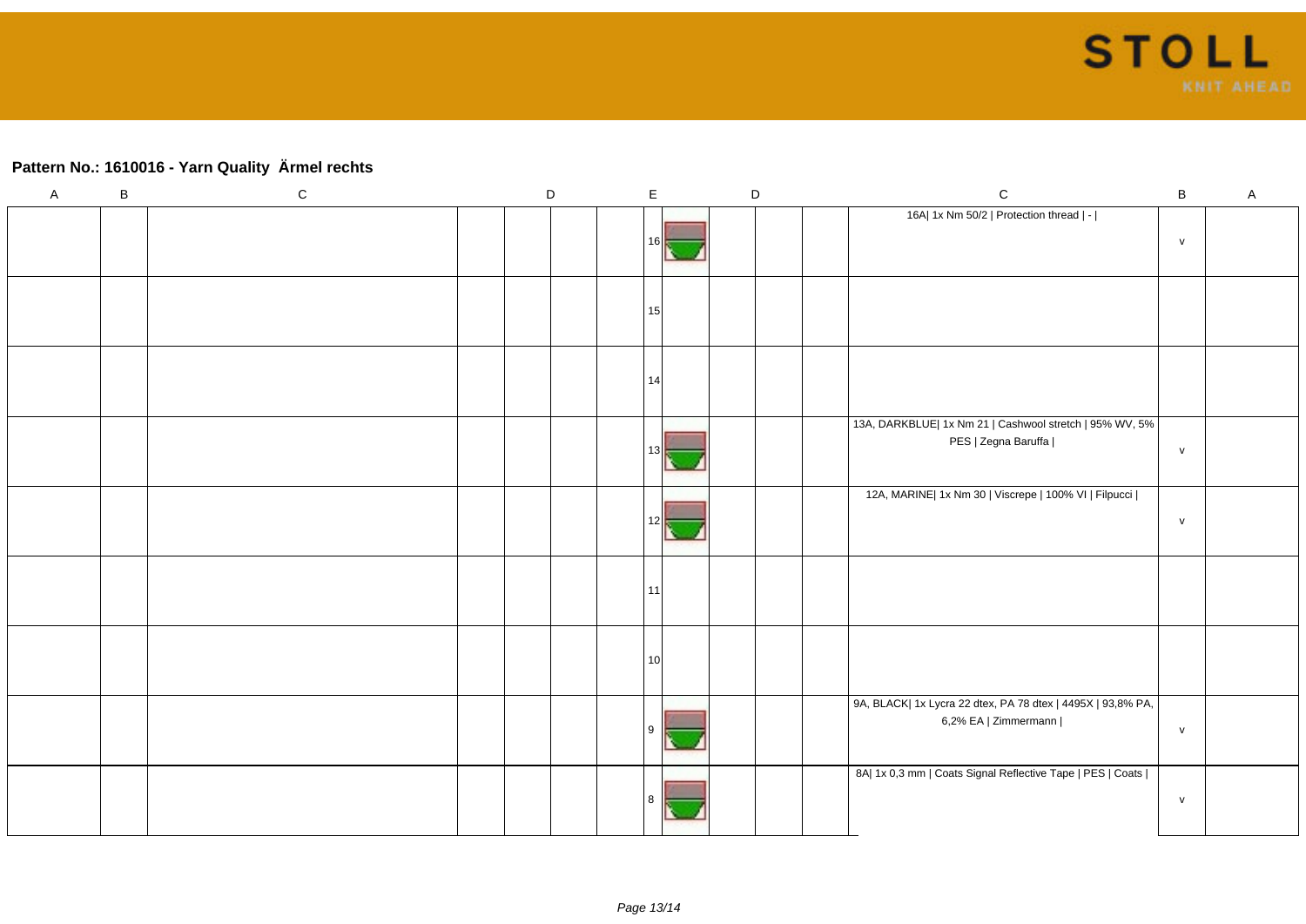# **Pattern No.: 1610016 - Yarn Quality Ärmel rechts**

| $\mathsf A$ | $\, {\bf B}$ | ${\bf C}$ | D |  | $\mathsf E$ | $\mathsf D$ |  | ${\bf C}$ |  | $\, {\bf B}$ | $\mathsf A$                                                                         |               |  |
|-------------|--------------|-----------|---|--|-------------|-------------|--|-----------|--|--------------|-------------------------------------------------------------------------------------|---------------|--|
|             |              |           |   |  |             | 16 II       |  |           |  |              | 16A  1x Nm 50/2   Protection thread   -                                             | $\mathsf{v}$  |  |
|             |              |           |   |  |             | 15          |  |           |  |              |                                                                                     |               |  |
|             |              |           |   |  |             | 14          |  |           |  |              |                                                                                     |               |  |
|             |              |           |   |  |             | 13          |  |           |  |              | 13A, DARKBLUE  1x Nm 21   Cashwool stretch   95% WV, 5%  <br>PES   Zegna Baruffa    | $\mathsf{v}$  |  |
|             |              |           |   |  |             | 12          |  |           |  |              | 12A, MARINE  1x Nm 30   Viscrepe   100% VI   Filpucci                               | ${\mathsf V}$ |  |
|             |              |           |   |  |             | 11          |  |           |  |              |                                                                                     |               |  |
|             |              |           |   |  |             | 10          |  |           |  |              |                                                                                     |               |  |
|             |              |           |   |  |             | l 9         |  |           |  |              | 9A, BLACK  1x Lycra 22 dtex, PA 78 dtex   4495X   93,8% PA,<br>6,2% EA   Zimmermann | ${\mathsf V}$ |  |
|             |              |           |   |  |             | 8           |  |           |  |              | 8A  1x 0,3 mm   Coats Signal Reflective Tape   PES   Coats                          | ${\mathsf V}$ |  |